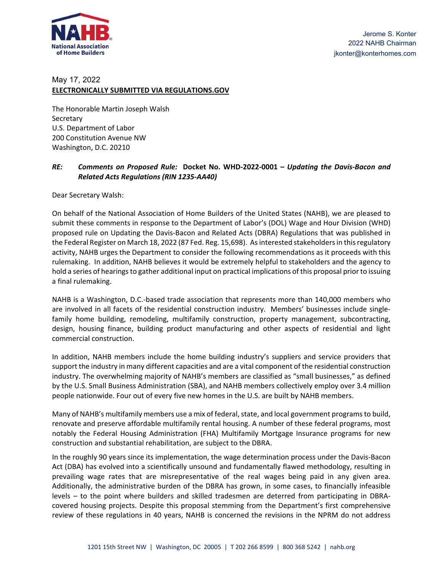

# May 17, 2022

#### **ELECTRONICALLY SUBMITTED VIA REGULATIONS.GOV**

The Honorable Martin Joseph Walsh Secretary U.S. Department of Labor 200 Constitution Avenue NW Washington, D.C. 20210

# RE: Comments on Proposed Rule: Docket No. WHD-2022-0001 - Updating the Davis-Bacon and *Related Acts Regulations (RIN 1235‐AA40)*

Dear Secretary Walsh:

On behalf of the National Association of Home Builders of the United States (NAHB), we are pleased to submit these comments in response to the Department of Labor's (DOL) Wage and Hour Division (WHD) proposed rule on Updating the Davis‐Bacon and Related Acts (DBRA) Regulations that was published in the Federal Register on March 18, 2022 (87 Fed. Reg. 15,698). As interested stakeholders in this regulatory activity, NAHB urges the Department to consider the following recommendations as it proceeds with this rulemaking. In addition, NAHB believes it would be extremely helpful to stakeholders and the agency to hold a series of hearingsto gather additional input on practical implications of this proposal priorto issuing a final rulemaking.

NAHB is a Washington, D.C.‐based trade association that represents more than 140,000 members who are involved in all facets of the residential construction industry. Members' businesses include singlefamily home building, remodeling, multifamily construction, property management, subcontracting, design, housing finance, building product manufacturing and other aspects of residential and light commercial construction.

In addition, NAHB members include the home building industry's suppliers and service providers that support the industry in many different capacities and are a vital component of the residential construction industry. The overwhelming majority of NAHB's members are classified as "small businesses," as defined by the U.S. Small Business Administration (SBA), and NAHB members collectively employ over 3.4 million people nationwide. Four out of every five new homes in the U.S. are built by NAHB members.

Many of NAHB's multifamily members use a mix of federal, state, and local government programs to build, renovate and preserve affordable multifamily rental housing. A number of these federal programs, most notably the Federal Housing Administration (FHA) Multifamily Mortgage Insurance programs for new construction and substantial rehabilitation, are subject to the DBRA.

In the roughly 90 years since its implementation, the wage determination process under the Davis‐Bacon Act (DBA) has evolved into a scientifically unsound and fundamentally flawed methodology, resulting in prevailing wage rates that are misrepresentative of the real wages being paid in any given area. Additionally, the administrative burden of the DBRA has grown, in some cases, to financially infeasible levels – to the point where builders and skilled tradesmen are deterred from participating in DBRA‐ covered housing projects. Despite this proposal stemming from the Department's first comprehensive review of these regulations in 40 years, NAHB is concerned the revisions in the NPRM do not address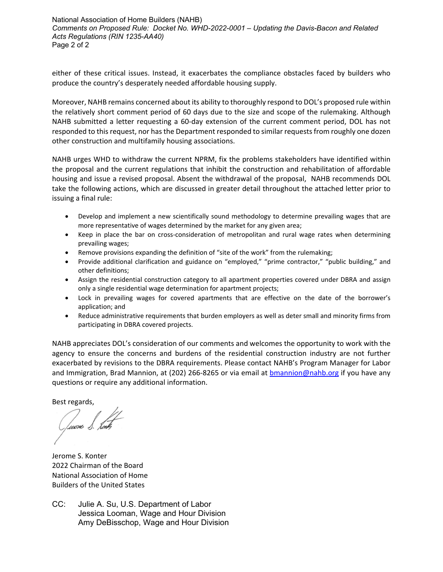National Association of Home Builders (NAHB) *Comments on Proposed Rule: Docket No. WHD-2022-0001 – Updating the Davis-Bacon and Related Acts Regulations (RIN 1235-AA40)*  Page 2 of 2

either of these critical issues. Instead, it exacerbates the compliance obstacles faced by builders who produce the country's desperately needed affordable housing supply.

Moreover, NAHB remains concerned about its ability to thoroughly respond to DOL's proposed rule within the relatively short comment period of 60 days due to the size and scope of the rulemaking. Although NAHB submitted a letter requesting a 60‐day extension of the current comment period, DOL has not responded to this request, nor has the Department responded to similar requests from roughly one dozen other construction and multifamily housing associations.

NAHB urges WHD to withdraw the current NPRM, fix the problems stakeholders have identified within the proposal and the current regulations that inhibit the construction and rehabilitation of affordable housing and issue a revised proposal. Absent the withdrawal of the proposal, NAHB recommends DOL take the following actions, which are discussed in greater detail throughout the attached letter prior to issuing a final rule:

- Develop and implement a new scientifically sound methodology to determine prevailing wages that are more representative of wages determined by the market for any given area;
- Keep in place the bar on cross-consideration of metropolitan and rural wage rates when determining prevailing wages;
- Remove provisions expanding the definition of "site of the work" from the rulemaking;
- Provide additional clarification and guidance on "employed," "prime contractor," "public building," and other definitions;
- Assign the residential construction category to all apartment properties covered under DBRA and assign only a single residential wage determination for apartment projects;
- Lock in prevailing wages for covered apartments that are effective on the date of the borrower's application; and
- Reduce administrative requirements that burden employers as well as deter small and minority firms from participating in DBRA covered projects.

NAHB appreciates DOL's consideration of our comments and welcomes the opportunity to work with the agency to ensure the concerns and burdens of the residential construction industry are not further exacerbated by revisions to the DBRA requirements. Please contact NAHB's Program Manager for Labor and Immigration, Brad Mannion, at (202) 266-8265 or via email at **bmannion@nahb.org** if you have any questions or require any additional information.

Best regards,

Juone S. Lonth

Jerome S. Konter 2022 Chairman of the Board National Association of Home Builders of the United States

CC: Julie A. Su, U.S. Department of Labor Jessica Looman, Wage and Hour Division Amy DeBisschop, Wage and Hour Division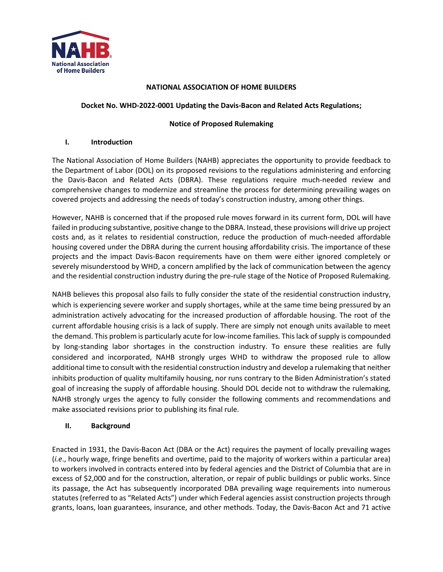

#### **NATIONAL ASSOCIATION OF HOME BUILDERS**

#### **Docket No. WHD-2022-0001 Updating the Davis-Bacon and Related Acts Regulations;**

#### **Notice of Proposed Rulemaking**

#### **I. Introduction**

The National Association of Home Builders (NAHB) appreciates the opportunity to provide feedback to the Department of Labor (DOL) on its proposed revisions to the regulations administering and enforcing the Davis-Bacon and Related Acts (DBRA). These regulations require much-needed review and comprehensive changes to modernize and streamline the process for determining prevailing wages on covered projects and addressing the needs of today's construction industry, among other things.

However, NAHB is concerned that if the proposed rule moves forward in its current form, DOL will have failed in producing substantive, positive change to the DBRA. Instead, these provisions will drive up project costs and, as it relates to residential construction, reduce the production of much-needed affordable housing covered under the DBRA during the current housing affordability crisis. The importance of these projects and the impact Davis-Bacon requirements have on them were either ignored completely or severely misunderstood by WHD, a concern amplified by the lack of communication between the agency and the residential construction industry during the pre-rule stage of the Notice of Proposed Rulemaking.

NAHB believes this proposal also fails to fully consider the state of the residential construction industry, which is experiencing severe worker and supply shortages, while at the same time being pressured by an administration actively advocating for the increased production of affordable housing. The root of the current affordable housing crisis is a lack of supply. There are simply not enough units available to meet the demand. This problem is particularly acute for low-income families. This lack of supply is compounded by long-standing labor shortages in the construction industry. To ensure these realities are fully considered and incorporated, NAHB strongly urges WHD to withdraw the proposed rule to allow additional time to consult with the residential construction industry and develop a rulemaking that neither inhibits production of quality multifamily housing, nor runs contrary to the Biden Administration's stated goal of increasing the supply of affordable housing. Should DOL decide not to withdraw the rulemaking, NAHB strongly urges the agency to fully consider the following comments and recommendations and make associated revisions prior to publishing its final rule.

#### **II. Background**

Enacted in 1931, the Davis-Bacon Act (DBA or the Act) requires the payment of locally prevailing wages (*i.e*., hourly wage, fringe benefits and overtime, paid to the majority of workers within a particular area) to workers involved in contracts entered into by federal agencies and the District of Columbia that are in excess of \$2,000 and for the construction, alteration, or repair of public buildings or public works. Since its passage, the Act has subsequently incorporated DBA prevailing wage requirements into numerous statutes (referred to as "Related Acts") under which Federal agencies assist construction projects through grants, loans, loan guarantees, insurance, and other methods. Today, the Davis-Bacon Act and 71 active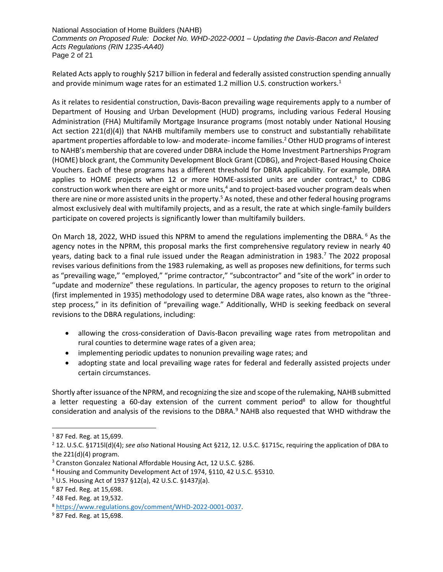National Association of Home Builders (NAHB) *Comments on Proposed Rule: Docket No. WHD-2022-0001 – Updating the Davis-Bacon and Related Acts Regulations (RIN 1235-AA40)* Page 2 of 21

Related Acts apply to roughly \$217 billion in federal and federally assisted construction spending annually and provide minimum wage rates for an estimated 1.2 million U.S. construction workers.<sup>1</sup>

As it relates to residential construction, Davis-Bacon prevailing wage requirements apply to a number of Department of Housing and Urban Development (HUD) programs, including various Federal Housing Administration (FHA) Multifamily Mortgage Insurance programs (most notably under National Housing Act section 221(d)(4)) that NAHB multifamily members use to construct and substantially rehabilitate apartment properties affordable to low- and moderate- income families.<sup>2</sup> Other HUD programs of interest to NAHB's membership that are covered under DBRA include the Home Investment Partnerships Program (HOME) block grant, the Community Development Block Grant (CDBG), and Project-Based Housing Choice Vouchers. Each of these programs has a different threshold for DBRA applicability. For example, DBRA applies to HOME projects when 12 or more HOME-assisted units are under contract,<sup>3</sup> to CDBG construction work when there are eight or more units,<sup>4</sup> and to project-based voucher program deals when there are nine or more assisted units in the property.<sup>5</sup> As noted, these and other federal housing programs almost exclusively deal with multifamily projects, and as a result, the rate at which single-family builders participate on covered projects is significantly lower than multifamily builders.

On March 18, 2022, WHD issued this NPRM to amend the regulations implementing the DBRA.<sup>6</sup> As the agency notes in the NPRM, this proposal marks the first comprehensive regulatory review in nearly 40 years, dating back to a final rule issued under the Reagan administration in 1983.<sup>7</sup> The 2022 proposal revises various definitions from the 1983 rulemaking, as well as proposes new definitions, for terms such as "prevailing wage," "employed," "prime contractor," "subcontractor" and "site of the work" in order to "update and modernize" these regulations. In particular, the agency proposes to return to the original (first implemented in 1935) methodology used to determine DBA wage rates, also known as the "threestep process," in its definition of "prevailing wage." Additionally, WHD is seeking feedback on several revisions to the DBRA regulations, including:

- allowing the cross-consideration of Davis-Bacon prevailing wage rates from metropolitan and rural counties to determine wage rates of a given area;
- implementing periodic updates to nonunion prevailing wage rates; and
- adopting state and local prevailing wage rates for federal and federally assisted projects under certain circumstances.

Shortly after issuance of the NPRM, and recognizing the size and scope of the rulemaking, NAHB submitted a letter requesting a 60-day extension of the current comment period<sup>8</sup> to allow for thoughtful consideration and analysis of the revisions to the DBRA.<sup>9</sup> NAHB also requested that WHD withdraw the

<sup>1</sup> 87 Fed. Reg. at 15,699.

<sup>2</sup> 12. U.S.C. §1715l(d)(4); *see also* National Housing Act §212, 12. U.S.C. §1715c, requiring the application of DBA to the  $221(d)(4)$  program.

<sup>3</sup> Cranston Gonzalez National Affordable Housing Act, 12 U.S.C. §286.

<sup>4</sup> Housing and Community Development Act of 1974, §110, 42 U.S.C. §5310.

<sup>5</sup> U.S. Housing Act of 1937 §12(a), 42 U.S.C. §1437j(a).

 $6$  87 Fed. Reg. at 15,698.

 $7$  48 Fed. Reg. at 19,532.

<sup>8</sup> [https://www.regulations.gov/comment/WHD-2022-0001-0037.](https://www.regulations.gov/comment/WHD-2022-0001-0037)

<sup>9</sup> 87 Fed. Reg. at 15,698.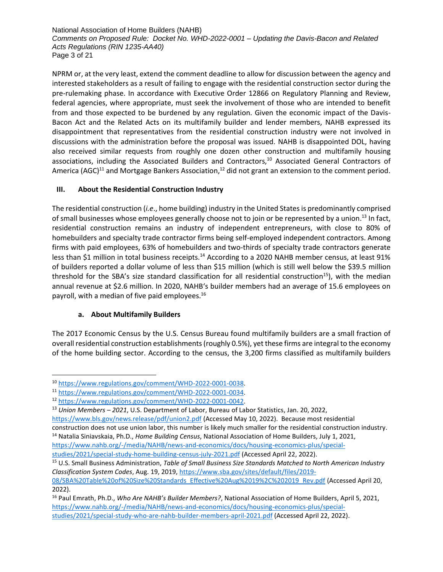National Association of Home Builders (NAHB) *Comments on Proposed Rule: Docket No. WHD-2022-0001 – Updating the Davis-Bacon and Related Acts Regulations (RIN 1235-AA40)* Page 3 of 21

NPRM or, at the very least, extend the comment deadline to allow for discussion between the agency and interested stakeholders as a result of failing to engage with the residential construction sector during the pre-rulemaking phase. In accordance with Executive Order 12866 on Regulatory Planning and Review, federal agencies, where appropriate, must seek the involvement of those who are intended to benefit from and those expected to be burdened by any regulation. Given the economic impact of the Davis-Bacon Act and the Related Acts on its multifamily builder and lender members, NAHB expressed its disappointment that representatives from the residential construction industry were not involved in discussions with the administration before the proposal was issued. NAHB is disappointed DOL, having also received similar requests from roughly one dozen other construction and multifamily housing associations, including the Associated Builders and Contractors,<sup>10</sup> Associated General Contractors of America (AGC)<sup>11</sup> and Mortgage Bankers Association,<sup>12</sup> did not grant an extension to the comment period.

# **III. About the Residential Construction Industry**

The residential construction (*i.e*., home building) industry in the United States is predominantly comprised of small businesses whose employees generally choose not to join or be represented by a union.<sup>13</sup> In fact, residential construction remains an industry of independent entrepreneurs, with close to 80% of homebuilders and specialty trade contractor firms being self-employed independent contractors. Among firms with paid employees, 63% of homebuilders and two-thirds of specialty trade contractors generate less than \$1 million in total business receipts.<sup>14</sup> According to a 2020 NAHB member census, at least 91% of builders reported a dollar volume of less than \$15 million (which is still well below the \$39.5 million threshold for the SBA's size standard classification for all residential construction<sup>15</sup>), with the median annual revenue at \$2.6 million. In 2020, NAHB's builder members had an average of 15.6 employees on payroll, with a median of five paid employees.<sup>16</sup>

# **a. About Multifamily Builders**

The 2017 Economic Census by the U.S. Census Bureau found multifamily builders are a small fraction of overall residential construction establishments (roughly 0.5%), yet these firms are integral to the economy of the home building sector. According to the census, the 3,200 firms classified as multifamily builders

<sup>10</sup> [https://www.regulations.gov/comment/WHD-2022-0001-0038.](https://www.regulations.gov/comment/WHD-2022-0001-0038)

<sup>11</sup> [https://www.regulations.gov/comment/WHD-2022-0001-0034.](https://www.regulations.gov/comment/WHD-2022-0001-0034)

<sup>12</sup> [https://www.regulations.gov/comment/WHD-2022-0001-0042.](https://www.regulations.gov/comment/WHD-2022-0001-0042)

<sup>13</sup> *Union Members – 2021*, U.S. Department of Labor, Bureau of Labor Statistics, Jan. 20, 2022,

<https://www.bls.gov/news.release/pdf/union2.pdf> (Accessed May 10, 2022). Because most residential construction does not use union labor, this number is likely much smaller for the residential construction industry. <sup>14</sup> Natalia Siniavskaia, Ph.D., *Home Building Census*, National Association of Home Builders, July 1, 2021,

[https://www.nahb.org/-/media/NAHB/news-and-economics/docs/housing-economics-plus/special](https://www.nahb.org/-/media/NAHB/news-and-economics/docs/housing-economics-plus/special-studies/2021/special-study-home-building-census-july-2021.pdf)[studies/2021/special-study-home-building-census-july-2021.pdf](https://www.nahb.org/-/media/NAHB/news-and-economics/docs/housing-economics-plus/special-studies/2021/special-study-home-building-census-july-2021.pdf) (Accessed April 22, 2022).

<sup>15</sup> U.S. Small Business Administration, *Table of Small Business Size Standards Matched to North American Industry Classification System Codes*, Aug. 19, 2019, [https://www.sba.gov/sites/default/files/2019-](https://www.sba.gov/sites/default/files/2019-08/SBA%20Table%20of%20Size%20Standards_Effective%20Aug%2019%2C%202019_Rev.pdf)

[<sup>08/</sup>SBA%20Table%20of%20Size%20Standards\\_Effective%20Aug%2019%2C%202019\\_Rev.pdf](https://www.sba.gov/sites/default/files/2019-08/SBA%20Table%20of%20Size%20Standards_Effective%20Aug%2019%2C%202019_Rev.pdf) (Accessed April 20, 2022).

<sup>16</sup> Paul Emrath, Ph.D., *Who Are NAHB's Builder Members?*, National Association of Home Builders, April 5, 2021, [https://www.nahb.org/-/media/NAHB/news-and-economics/docs/housing-economics-plus/special](https://www.nahb.org/-/media/NAHB/news-and-economics/docs/housing-economics-plus/special-studies/2021/special-study-who-are-nahb-builder-members-april-2021.pdf)[studies/2021/special-study-who-are-nahb-builder-members-april-2021.pdf](https://www.nahb.org/-/media/NAHB/news-and-economics/docs/housing-economics-plus/special-studies/2021/special-study-who-are-nahb-builder-members-april-2021.pdf) (Accessed April 22, 2022).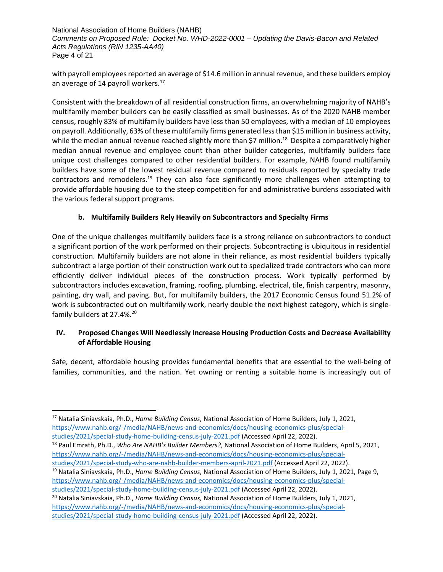National Association of Home Builders (NAHB) *Comments on Proposed Rule: Docket No. WHD-2022-0001 – Updating the Davis-Bacon and Related Acts Regulations (RIN 1235-AA40)* Page 4 of 21

with payroll employees reported an average of \$14.6 million in annual revenue, and these builders employ an average of 14 payroll workers.<sup>17</sup>

Consistent with the breakdown of all residential construction firms, an overwhelming majority of NAHB's multifamily member builders can be easily classified as small businesses. As of the 2020 NAHB member census, roughly 83% of multifamily builders have less than 50 employees, with a median of 10 employees on payroll. Additionally, 63% of these multifamily firms generated less than \$15 million in business activity, while the median annual revenue reached slightly more than \$7 million.<sup>18</sup> Despite a comparatively higher median annual revenue and employee count than other builder categories, multifamily builders face unique cost challenges compared to other residential builders. For example, NAHB found multifamily builders have some of the lowest residual revenue compared to residuals reported by specialty trade contractors and remodelers.<sup>19</sup> They can also face significantly more challenges when attempting to provide affordable housing due to the steep competition for and administrative burdens associated with the various federal support programs.

# **b. Multifamily Builders Rely Heavily on Subcontractors and Specialty Firms**

One of the unique challenges multifamily builders face is a strong reliance on subcontractors to conduct a significant portion of the work performed on their projects. Subcontracting is ubiquitous in residential construction. Multifamily builders are not alone in their reliance, as most residential builders typically subcontract a large portion of their construction work out to specialized trade contractors who can more efficiently deliver individual pieces of the construction process. Work typically performed by subcontractors includes excavation, framing, roofing, plumbing, electrical, tile, finish carpentry, masonry, painting, dry wall, and paving. But, for multifamily builders, the 2017 Economic Census found 51.2% of work is subcontracted out on multifamily work, nearly double the next highest category, which is singlefamily builders at 27.4%.<sup>20</sup>

# **IV. Proposed Changes Will Needlessly Increase Housing Production Costs and Decrease Availability of Affordable Housing**

Safe, decent, affordable housing provides fundamental benefits that are essential to the well-being of families, communities, and the nation. Yet owning or renting a suitable home is increasingly out of

[studies/2021/special-study-home-building-census-july-2021.pdf](https://www.nahb.org/-/media/NAHB/news-and-economics/docs/housing-economics-plus/special-studies/2021/special-study-home-building-census-july-2021.pdf) (Accessed April 22, 2022). <sup>18</sup> Paul Emrath, Ph.D., *Who Are NAHB's Builder Members?*, National Association of Home Builders, April 5, 2021, [https://www.nahb.org/-/media/NAHB/news-and-economics/docs/housing-economics-plus/special-](https://www.nahb.org/-/media/NAHB/news-and-economics/docs/housing-economics-plus/special-studies/2021/special-study-who-are-nahb-builder-members-april-2021.pdf)

<sup>17</sup> Natalia Siniavskaia, Ph.D., *Home Building Census*, National Association of Home Builders, July 1, 2021, [https://www.nahb.org/-/media/NAHB/news-and-economics/docs/housing-economics-plus/special-](https://www.nahb.org/-/media/NAHB/news-and-economics/docs/housing-economics-plus/special-studies/2021/special-study-home-building-census-july-2021.pdf)

[studies/2021/special-study-who-are-nahb-builder-members-april-2021.pdf](https://www.nahb.org/-/media/NAHB/news-and-economics/docs/housing-economics-plus/special-studies/2021/special-study-who-are-nahb-builder-members-april-2021.pdf) (Accessed April 22, 2022).

<sup>19</sup> Natalia Siniavskaia, Ph.D., *Home Building Census*, National Association of Home Builders, July 1, 2021, Page 9, [https://www.nahb.org/-/media/NAHB/news-and-economics/docs/housing-economics-plus/special-](https://www.nahb.org/-/media/NAHB/news-and-economics/docs/housing-economics-plus/special-studies/2021/special-study-home-building-census-july-2021.pdf)

[studies/2021/special-study-home-building-census-july-2021.pdf](https://www.nahb.org/-/media/NAHB/news-and-economics/docs/housing-economics-plus/special-studies/2021/special-study-home-building-census-july-2021.pdf) (Accessed April 22, 2022). <sup>20</sup> Natalia Siniavskaia, Ph.D., *Home Building Census,* National Association of Home Builders, July 1, 2021, [https://www.nahb.org/-/media/NAHB/news-and-economics/docs/housing-economics-plus/special](https://www.nahb.org/-/media/NAHB/news-and-economics/docs/housing-economics-plus/special-studies/2021/special-study-home-building-census-july-2021.pdf)[studies/2021/special-study-home-building-census-july-2021.pdf](https://www.nahb.org/-/media/NAHB/news-and-economics/docs/housing-economics-plus/special-studies/2021/special-study-home-building-census-july-2021.pdf) (Accessed April 22, 2022).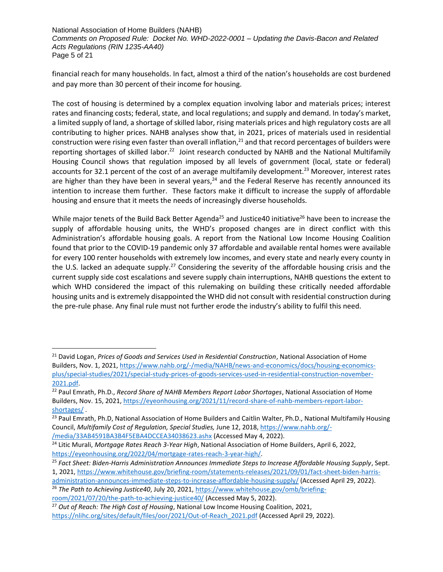National Association of Home Builders (NAHB) *Comments on Proposed Rule: Docket No. WHD-2022-0001 – Updating the Davis-Bacon and Related Acts Regulations (RIN 1235-AA40)* Page 5 of 21

financial reach for many households. In fact, almost a third of the nation's households are cost burdened and pay more than 30 percent of their income for housing.

The cost of housing is determined by a complex equation involving labor and materials prices; interest rates and financing costs; federal, state, and local regulations; and supply and demand. In today's market, a limited supply of land, a shortage of skilled labor, rising materials prices and high regulatory costs are all contributing to higher prices. NAHB analyses show that, in 2021, prices of materials used in residential construction were rising even faster than overall inflation, $21$  and that record percentages of builders were reporting shortages of skilled labor.<sup>22</sup> Joint research conducted by NAHB and the National Multifamily Housing Council shows that regulation imposed by all levels of government (local, state or federal) accounts for 32.1 percent of the cost of an average multifamily development.<sup>23</sup> Moreover, interest rates are higher than they have been in several years, $24$  and the Federal Reserve has recently announced its intention to increase them further. These factors make it difficult to increase the supply of affordable housing and ensure that it meets the needs of increasingly diverse households.

While major tenets of the Build Back Better Agenda<sup>25</sup> and Justice40 initiative<sup>26</sup> have been to increase the supply of affordable housing units, the WHD's proposed changes are in direct conflict with this Administration's affordable housing goals. A report from the National Low Income Housing Coalition found that prior to the COVID-19 pandemic only 37 affordable and available rental homes were available for every 100 renter households with extremely low incomes, and every state and nearly every county in the U.S. lacked an adequate supply.<sup>27</sup> Considering the severity of the affordable housing crisis and the current supply side cost escalations and severe supply chain interruptions, NAHB questions the extent to which WHD considered the impact of this rulemaking on building these critically needed affordable housing units and is extremely disappointed the WHD did not consult with residential construction during the pre-rule phase. Any final rule must not further erode the industry's ability to fulfil this need.

<sup>21</sup> David Logan, *Prices of Goods and Services Used in Residential Construction*, National Association of Home Builders, Nov. 1, 2021[, https://www.nahb.org/-/media/NAHB/news-and-economics/docs/housing-economics](https://www.nahb.org/-/media/NAHB/news-and-economics/docs/housing-economics-plus/special-studies/2021/special-study-prices-of-goods-services-used-in-residential-construction-november-2021.pdf)[plus/special-studies/2021/special-study-prices-of-goods-services-used-in-residential-construction-november-](https://www.nahb.org/-/media/NAHB/news-and-economics/docs/housing-economics-plus/special-studies/2021/special-study-prices-of-goods-services-used-in-residential-construction-november-2021.pdf)[2021.pdf.](https://www.nahb.org/-/media/NAHB/news-and-economics/docs/housing-economics-plus/special-studies/2021/special-study-prices-of-goods-services-used-in-residential-construction-november-2021.pdf) 

<sup>22</sup> Paul Emrath, Ph.D., *Record Share of NAHB Members Report Labor Shortages*, National Association of Home Builders, Nov. 15, 2021[, https://eyeonhousing.org/2021/11/record-share-of-nahb-members-report-labor](https://eyeonhousing.org/2021/11/record-share-of-nahb-members-report-labor-shortages/)[shortages/](https://eyeonhousing.org/2021/11/record-share-of-nahb-members-report-labor-shortages/) .

<sup>&</sup>lt;sup>23</sup> Paul Emrath, Ph.D, National Association of Home Builders and Caitlin Walter, Ph.D., National Multifamily Housing Council, *Multifamily Cost of Regulation, Special Studies,* June 12, 2018, [https://www.nahb.org/-](https://www.nahb.org/-/media/33AB4591BA3B4F5EBA4DCCEA34038623.ashx) [/media/33AB4591BA3B4F5EBA4DCCEA34038623.ashx](https://www.nahb.org/-/media/33AB4591BA3B4F5EBA4DCCEA34038623.ashx) (Accessed May 4, 2022).

<sup>24</sup> Litic Murali, *Mortgage Rates Reach 3-Year High*, National Association of Home Builders, April 6, 2022, [https://eyeonhousing.org/2022/04/mortgage-rates-reach-3-year-high/.](https://eyeonhousing.org/2022/04/mortgage-rates-reach-3-year-high/)

<sup>25</sup> *Fact Sheet: Biden-Harris Administration Announces Immediate Steps to Increase Affordable Housing Supply*, Sept. 1, 2021, [https://www.whitehouse.gov/briefing-room/statements-releases/2021/09/01/fact-sheet-biden-harris-](https://www.whitehouse.gov/briefing-room/statements-releases/2021/09/01/fact-sheet-biden-harris-administration-announces-immediate-steps-to-increase-affordable-housing-supply/)

[administration-announces-immediate-steps-to-increase-affordable-housing-supply/](https://www.whitehouse.gov/briefing-room/statements-releases/2021/09/01/fact-sheet-biden-harris-administration-announces-immediate-steps-to-increase-affordable-housing-supply/) (Accessed April 29, 2022).

<sup>26</sup> *The Path to Achieving Justice40*, July 20, 2021, [https://www.whitehouse.gov/omb/briefing](https://www.whitehouse.gov/omb/briefing-room/2021/07/20/the-path-to-achieving-justice40/)[room/2021/07/20/the-path-to-achieving-justice40/](https://www.whitehouse.gov/omb/briefing-room/2021/07/20/the-path-to-achieving-justice40/) (Accessed May 5, 2022).

<sup>27</sup> *Out of Reach: The High Cost of Housing*, National Low Income Housing Coalition, 2021, [https://nlihc.org/sites/default/files/oor/2021/Out-of-Reach\\_2021.pdf](https://nlihc.org/sites/default/files/oor/2021/Out-of-Reach_2021.pdf) (Accessed April 29, 2022).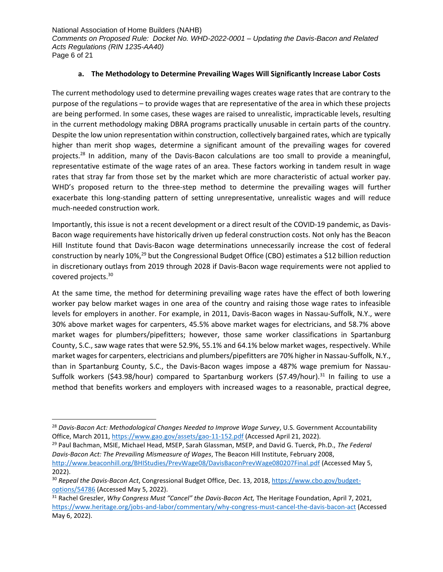National Association of Home Builders (NAHB) *Comments on Proposed Rule: Docket No. WHD-2022-0001 – Updating the Davis-Bacon and Related Acts Regulations (RIN 1235-AA40)* Page 6 of 21

# **a. The Methodology to Determine Prevailing Wages Will Significantly Increase Labor Costs**

The current methodology used to determine prevailing wages creates wage rates that are contrary to the purpose of the regulations – to provide wages that are representative of the area in which these projects are being performed. In some cases, these wages are raised to unrealistic, impracticable levels, resulting in the current methodology making DBRA programs practically unusable in certain parts of the country. Despite the low union representation within construction, collectively bargained rates, which are typically higher than merit shop wages, determine a significant amount of the prevailing wages for covered projects.<sup>28</sup> In addition, many of the Davis-Bacon calculations are too small to provide a meaningful, representative estimate of the wage rates of an area. These factors working in tandem result in wage rates that stray far from those set by the market which are more characteristic of actual worker pay. WHD's proposed return to the three-step method to determine the prevailing wages will further exacerbate this long-standing pattern of setting unrepresentative, unrealistic wages and will reduce much-needed construction work.

Importantly, this issue is not a recent development or a direct result of the COVID-19 pandemic, as Davis-Bacon wage requirements have historically driven up federal construction costs. Not only has the Beacon Hill Institute found that Davis-Bacon wage determinations unnecessarily increase the cost of federal construction by nearly 10%,<sup>29</sup> but the Congressional Budget Office (CBO) estimates a \$12 billion reduction in discretionary outlays from 2019 through 2028 if Davis-Bacon wage requirements were not applied to covered projects.<sup>30</sup>

At the same time, the method for determining prevailing wage rates have the effect of both lowering worker pay below market wages in one area of the country and raising those wage rates to infeasible levels for employers in another. For example, in 2011, Davis-Bacon wages in Nassau-Suffolk, N.Y., were 30% above market wages for carpenters, 45.5% above market wages for electricians, and 58.7% above market wages for plumbers/pipefitters; however, those same worker classifications in Spartanburg County, S.C., saw wage rates that were 52.9%, 55.1% and 64.1% below market wages, respectively. While market wages for carpenters, electricians and plumbers/pipefitters are 70% higher in Nassau-Suffolk, N.Y., than in Spartanburg County, S.C., the Davis-Bacon wages impose a 487% wage premium for Nassau-Suffolk workers (\$43.98/hour) compared to Spartanburg workers (\$7.49/hour).<sup>31</sup> In failing to use a method that benefits workers and employers with increased wages to a reasonable, practical degree,

<sup>28</sup> *Davis-Bacon Act: Methodological Changes Needed to Improve Wage Survey*, U.S. Government Accountability Office, March 2011[, https://www.gao.gov/assets/gao-11-152.pdf](https://www.gao.gov/assets/gao-11-152.pdf) (Accessed April 21, 2022).

<sup>29</sup> Paul Bachman, MSIE, Michael Head, MSEP, Sarah Glassman, MSEP, and David G. Tuerck, Ph.D., *The Federal Davis-Bacon Act: The Prevailing Mismeasure of Wages*, The Beacon Hill Institute, February 2008, <http://www.beaconhill.org/BHIStudies/PrevWage08/DavisBaconPrevWage080207Final.pdf> (Accessed May 5, 2022).

<sup>30</sup> *Repeal the Davis-Bacon Act*, Congressional Budget Office, Dec. 13, 2018, [https://www.cbo.gov/budget](https://www.cbo.gov/budget-options/54786)[options/54786](https://www.cbo.gov/budget-options/54786) (Accessed May 5, 2022).

<sup>31</sup> Rachel Greszler, *Why Congress Must "Cancel" the Davis-Bacon Act,* The Heritage Foundation, April 7, 2021, <https://www.heritage.org/jobs-and-labor/commentary/why-congress-must-cancel-the-davis-bacon-act> (Accessed May 6, 2022).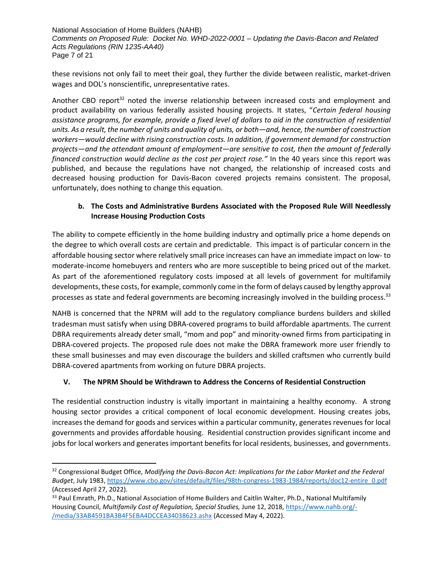National Association of Home Builders (NAHB) *Comments on Proposed Rule: Docket No. WHD-2022-0001 – Updating the Davis-Bacon and Related Acts Regulations (RIN 1235-AA40)* Page 7 of 21

these revisions not only fail to meet their goal, they further the divide between realistic, market-driven wages and DOL's nonscientific, unrepresentative rates.

Another CBO report<sup>32</sup> noted the inverse relationship between increased costs and employment and product availability on various federally assisted housing projects. It states, "*Certain federal housing assistance programs, for example, provide a fixed level of dollars to aid in the construction of residential units. As a result, the number of units and quality of units, or both—and, hence, the number of construction workers—would decline with rising construction costs. In addition, if government demand for construction projects—and the attendant amount of employment—are sensitive to cost, then the amount of federally financed construction would decline as the cost per project rose."* In the 40 years since this report was published, and because the regulations have not changed, the relationship of increased costs and decreased housing production for Davis-Bacon covered projects remains consistent. The proposal, unfortunately, does nothing to change this equation.

# **b. The Costs and Administrative Burdens Associated with the Proposed Rule Will Needlessly Increase Housing Production Costs**

The ability to compete efficiently in the home building industry and optimally price a home depends on the degree to which overall costs are certain and predictable. This impact is of particular concern in the affordable housing sector where relatively small price increases can have an immediate impact on low- to moderate-income homebuyers and renters who are more susceptible to being priced out of the market. As part of the aforementioned regulatory costs imposed at all levels of government for multifamily developments, these costs, for example, commonly come in the form of delays caused by lengthy approval processes as state and federal governments are becoming increasingly involved in the building process.<sup>33</sup>

NAHB is concerned that the NPRM will add to the regulatory compliance burdens builders and skilled tradesman must satisfy when using DBRA-covered programs to build affordable apartments. The current DBRA requirements already deter small, "mom and pop" and minority-owned firms from participating in DBRA-covered projects. The proposed rule does not make the DBRA framework more user friendly to these small businesses and may even discourage the builders and skilled craftsmen who currently build DBRA-covered apartments from working on future DBRA projects.

# **V. The NPRM Should be Withdrawn to Address the Concerns of Residential Construction**

The residential construction industry is vitally important in maintaining a healthy economy. A strong housing sector provides a critical component of local economic development. Housing creates jobs, increases the demand for goods and services within a particular community, generates revenues for local governments and provides affordable housing. Residential construction provides significant income and jobs for local workers and generates important benefits for local residents, businesses, and governments.

<sup>32</sup> Congressional Budget Office, *Modifying the Davis-Bacon Act: Implications for the Labor Market and the Federal Budget*, July 1983, [https://www.cbo.gov/sites/default/files/98th-congress-1983-1984/reports/doc12-entire\\_0.pdf](https://www.cbo.gov/sites/default/files/98th-congress-1983-1984/reports/doc12-entire_0.pdf) (Accessed April 27, 2022).

<sup>&</sup>lt;sup>33</sup> Paul Emrath, Ph.D., National Association of Home Builders and Caitlin Walter, Ph.D., National Multifamily Housing Council, *Multifamily Cost of Regulation, Special Studies,* June 12, 2018, [https://www.nahb.org/-](https://www.nahb.org/-/media/33AB4591BA3B4F5EBA4DCCEA34038623.ashx) [/media/33AB4591BA3B4F5EBA4DCCEA34038623.ashx](https://www.nahb.org/-/media/33AB4591BA3B4F5EBA4DCCEA34038623.ashx) (Accessed May 4, 2022).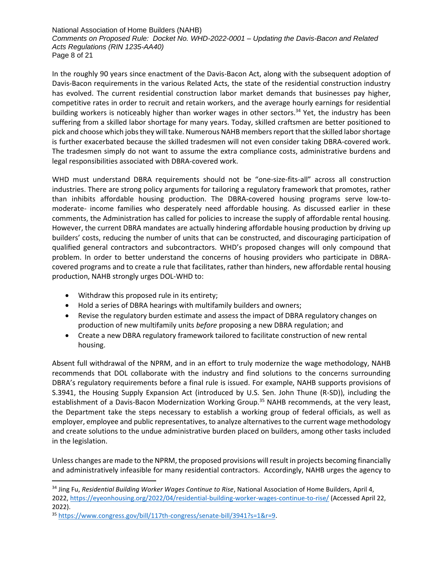National Association of Home Builders (NAHB) *Comments on Proposed Rule: Docket No. WHD-2022-0001 – Updating the Davis-Bacon and Related Acts Regulations (RIN 1235-AA40)* Page 8 of 21

In the roughly 90 years since enactment of the Davis-Bacon Act, along with the subsequent adoption of Davis-Bacon requirements in the various Related Acts, the state of the residential construction industry has evolved. The current residential construction labor market demands that businesses pay higher, competitive rates in order to recruit and retain workers, and the average hourly earnings for residential building workers is noticeably higher than worker wages in other sectors.<sup>34</sup> Yet, the industry has been suffering from a skilled labor shortage for many years. Today, skilled craftsmen are better positioned to pick and choose which jobs they will take. Numerous NAHB members report that the skilled labor shortage is further exacerbated because the skilled tradesmen will not even consider taking DBRA-covered work. The tradesmen simply do not want to assume the extra compliance costs, administrative burdens and legal responsibilities associated with DBRA-covered work.

WHD must understand DBRA requirements should not be "one-size-fits-all" across all construction industries. There are strong policy arguments for tailoring a regulatory framework that promotes, rather than inhibits affordable housing production. The DBRA-covered housing programs serve low-tomoderate- income families who desperately need affordable housing. As discussed earlier in these comments, the Administration has called for policies to increase the supply of affordable rental housing. However, the current DBRA mandates are actually hindering affordable housing production by driving up builders' costs, reducing the number of units that can be constructed, and discouraging participation of qualified general contractors and subcontractors. WHD's proposed changes will only compound that problem. In order to better understand the concerns of housing providers who participate in DBRAcovered programs and to create a rule that facilitates, rather than hinders, new affordable rental housing production, NAHB strongly urges DOL-WHD to:

- Withdraw this proposed rule in its entirety;
- Hold a series of DBRA hearings with multifamily builders and owners;
- Revise the regulatory burden estimate and assess the impact of DBRA regulatory changes on production of new multifamily units *before* proposing a new DBRA regulation; and
- Create a new DBRA regulatory framework tailored to facilitate construction of new rental housing.

Absent full withdrawal of the NPRM, and in an effort to truly modernize the wage methodology, NAHB recommends that DOL collaborate with the industry and find solutions to the concerns surrounding DBRA's regulatory requirements before a final rule is issued. For example, NAHB supports provisions of S.3941, the Housing Supply Expansion Act (introduced by U.S. Sen. John Thune (R-SD)), including the establishment of a Davis-Bacon Modernization Working Group.<sup>35</sup> NAHB recommends, at the very least, the Department take the steps necessary to establish a working group of federal officials, as well as employer, employee and public representatives, to analyze alternatives to the current wage methodology and create solutions to the undue administrative burden placed on builders, among other tasks included in the legislation.

Unless changes are made to the NPRM, the proposed provisions will result in projects becoming financially and administratively infeasible for many residential contractors. Accordingly, NAHB urges the agency to

<sup>34</sup> Jing Fu, *Residential Building Worker Wages Continue to Rise*, National Association of Home Builders, April 4, 2022,<https://eyeonhousing.org/2022/04/residential-building-worker-wages-continue-to-rise/> (Accessed April 22, 2022).

<sup>35</sup> [https://www.congress.gov/bill/117th-congress/senate-bill/3941?s=1&r=9.](https://www.congress.gov/bill/117th-congress/senate-bill/3941?s=1&r=9)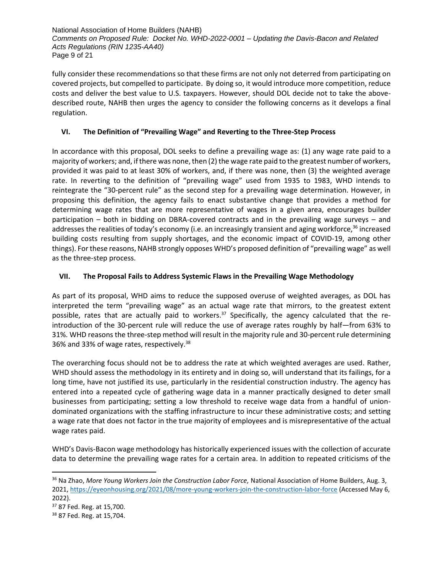National Association of Home Builders (NAHB) *Comments on Proposed Rule: Docket No. WHD-2022-0001 – Updating the Davis-Bacon and Related Acts Regulations (RIN 1235-AA40)* Page 9 of 21

fully consider these recommendations so that these firms are not only not deterred from participating on covered projects, but compelled to participate. By doing so, it would introduce more competition, reduce costs and deliver the best value to U.S. taxpayers. However, should DOL decide not to take the abovedescribed route, NAHB then urges the agency to consider the following concerns as it develops a final regulation.

# **VI. The Definition of "Prevailing Wage" and Reverting to the Three-Step Process**

In accordance with this proposal, DOL seeks to define a prevailing wage as: (1) any wage rate paid to a majority of workers; and, if there was none, then (2) the wage rate paid to the greatest number of workers, provided it was paid to at least 30% of workers, and, if there was none, then (3) the weighted average rate. In reverting to the definition of "prevailing wage" used from 1935 to 1983, WHD intends to reintegrate the "30-percent rule" as the second step for a prevailing wage determination. However, in proposing this definition, the agency fails to enact substantive change that provides a method for determining wage rates that are more representative of wages in a given area, encourages builder participation – both in bidding on DBRA-covered contracts and in the prevailing wage surveys – and addresses the realities of today's economy (i.e. an increasingly transient and aging workforce,<sup>36</sup> increased building costs resulting from supply shortages, and the economic impact of COVID-19, among other things). For these reasons, NAHB strongly opposes WHD's proposed definition of "prevailing wage" as well as the three-step process.

# **VII. The Proposal Fails to Address Systemic Flaws in the Prevailing Wage Methodology**

As part of its proposal, WHD aims to reduce the supposed overuse of weighted averages, as DOL has interpreted the term "prevailing wage" as an actual wage rate that mirrors, to the greatest extent possible, rates that are actually paid to workers.<sup>37</sup> Specifically, the agency calculated that the reintroduction of the 30-percent rule will reduce the use of average rates roughly by half—from 63% to 31%. WHD reasons the three-step method will result in the majority rule and 30-percent rule determining 36% and 33% of wage rates, respectively.<sup>38</sup>

The overarching focus should not be to address the rate at which weighted averages are used. Rather, WHD should assess the methodology in its entirety and in doing so, will understand that its failings, for a long time, have not justified its use, particularly in the residential construction industry. The agency has entered into a repeated cycle of gathering wage data in a manner practically designed to deter small businesses from participating; setting a low threshold to receive wage data from a handful of uniondominated organizations with the staffing infrastructure to incur these administrative costs; and setting a wage rate that does not factor in the true majority of employees and is misrepresentative of the actual wage rates paid.

WHD's Davis-Bacon wage methodology has historically experienced issues with the collection of accurate data to determine the prevailing wage rates for a certain area. In addition to repeated criticisms of the

<sup>36</sup> Na Zhao, *More Young Workers Join the Construction Labor Force,* National Association of Home Builders, Aug. 3, 2021, [https://eyeonhousing.org/2021/08/more-young-workers-join-the-construction-labor-force](https://eyeonhousing.org/2021/08/more-young-workers-join-the-construction-labor-force/#:~:text=The%20latest%20labor%20force%20statistics,to%20only%209.7%25%20in%202015) (Accessed May 6, 2022).

<sup>&</sup>lt;sup>37</sup> 87 Fed. Reg. at 15,700.

<sup>38</sup> 87 Fed. Reg. at 15,704.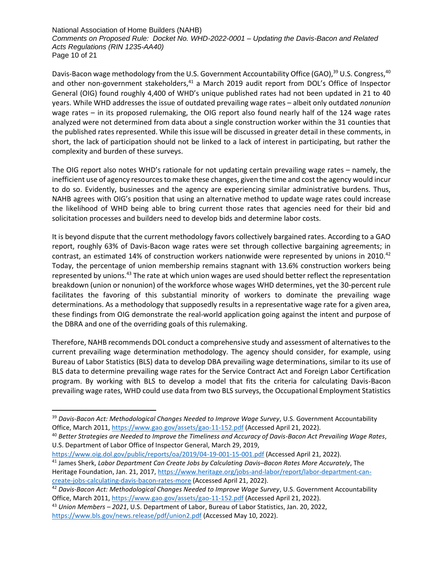National Association of Home Builders (NAHB) *Comments on Proposed Rule: Docket No. WHD-2022-0001 – Updating the Davis-Bacon and Related Acts Regulations (RIN 1235-AA40)* Page 10 of 21

Davis-Bacon wage methodology from the U.S. Government Accountability Office (GAO),<sup>39</sup> U.S. Congress,<sup>40</sup> and other non-government stakeholders,<sup>41</sup> a March 2019 audit report from DOL's Office of Inspector General (OIG) found roughly 4,400 of WHD's unique published rates had not been updated in 21 to 40 years. While WHD addresses the issue of outdated prevailing wage rates – albeit only outdated *nonunion* wage rates – in its proposed rulemaking, the OIG report also found nearly half of the 124 wage rates analyzed were not determined from data about a single construction worker within the 31 counties that the published rates represented. While this issue will be discussed in greater detail in these comments, in short, the lack of participation should not be linked to a lack of interest in participating, but rather the complexity and burden of these surveys.

The OIG report also notes WHD's rationale for not updating certain prevailing wage rates – namely, the inefficient use of agency resources to make these changes, given the time and cost the agency would incur to do so. Evidently, businesses and the agency are experiencing similar administrative burdens. Thus, NAHB agrees with OIG's position that using an alternative method to update wage rates could increase the likelihood of WHD being able to bring current those rates that agencies need for their bid and solicitation processes and builders need to develop bids and determine labor costs.

It is beyond dispute that the current methodology favors collectively bargained rates. According to a GAO report, roughly 63% of Davis-Bacon wage rates were set through collective bargaining agreements; in contrast, an estimated 14% of construction workers nationwide were represented by unions in 2010.<sup>42</sup> Today, the percentage of union membership remains stagnant with 13.6% construction workers being represented by unions.<sup>43</sup> The rate at which union wages are used should better reflect the representation breakdown (union or nonunion) of the workforce whose wages WHD determines, yet the 30-percent rule facilitates the favoring of this substantial minority of workers to dominate the prevailing wage determinations. As a methodology that supposedly results in a representative wage rate for a given area, these findings from OIG demonstrate the real-world application going against the intent and purpose of the DBRA and one of the overriding goals of this rulemaking.

Therefore, NAHB recommends DOL conduct a comprehensive study and assessment of alternatives to the current prevailing wage determination methodology. The agency should consider, for example, using Bureau of Labor Statistics (BLS) data to develop DBA prevailing wage determinations, similar to its use of BLS data to determine prevailing wage rates for the Service Contract Act and Foreign Labor Certification program. By working with BLS to develop a model that fits the criteria for calculating Davis-Bacon prevailing wage rates, WHD could use data from two BLS surveys, the Occupational Employment Statistics

<sup>39</sup> *Davis-Bacon Act: Methodological Changes Needed to Improve Wage Survey*, U.S. Government Accountability Office, March 2011[, https://www.gao.gov/assets/gao-11-152.pdf](https://www.gao.gov/assets/gao-11-152.pdf) (Accessed April 21, 2022).

<sup>40</sup> *Better Strategies are Needed to Improve the Timeliness and Accuracy of Davis-Bacon Act Prevailing Wage Rates*, U.S. Department of Labor Office of Inspector General, March 29, 2019,

<https://www.oig.dol.gov/public/reports/oa/2019/04-19-001-15-001.pdf> (Accessed April 21, 2022). <sup>41</sup> James Sherk, *Labor Department Can Create Jobs by Calculating Davis–Bacon Rates More Accurately*, The Heritage Foundation, Jan. 21, 2017, [https://www.heritage.org/jobs-and-labor/report/labor-department-can](https://www.heritage.org/jobs-and-labor/report/labor-department-can-create-jobs-calculating-davis-bacon-rates-more)[create-jobs-calculating-davis-bacon-rates-more](https://www.heritage.org/jobs-and-labor/report/labor-department-can-create-jobs-calculating-davis-bacon-rates-more) (Accessed April 21, 2022).

<sup>42</sup> *Davis-Bacon Act: Methodological Changes Needed to Improve Wage Survey*, U.S. Government Accountability Office, March 2011[, https://www.gao.gov/assets/gao-11-152.pdf](https://www.gao.gov/assets/gao-11-152.pdf) (Accessed April 21, 2022).

<sup>43</sup> *Union Members – 2021*, U.S. Department of Labor, Bureau of Labor Statistics, Jan. 20, 2022, <https://www.bls.gov/news.release/pdf/union2.pdf> (Accessed May 10, 2022).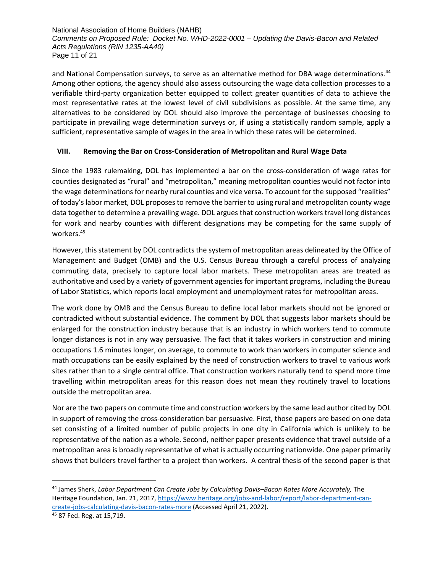National Association of Home Builders (NAHB) *Comments on Proposed Rule: Docket No. WHD-2022-0001 – Updating the Davis-Bacon and Related Acts Regulations (RIN 1235-AA40)* Page 11 of 21

and National Compensation surveys, to serve as an alternative method for DBA wage determinations.<sup>44</sup> Among other options, the agency should also assess outsourcing the wage data collection processes to a verifiable third-party organization better equipped to collect greater quantities of data to achieve the most representative rates at the lowest level of civil subdivisions as possible. At the same time, any alternatives to be considered by DOL should also improve the percentage of businesses choosing to participate in prevailing wage determination surveys or, if using a statistically random sample, apply a sufficient, representative sample of wages in the area in which these rates will be determined.

# **VIII. Removing the Bar on Cross-Consideration of Metropolitan and Rural Wage Data**

Since the 1983 rulemaking, DOL has implemented a bar on the cross-consideration of wage rates for counties designated as "rural" and "metropolitan," meaning metropolitan counties would not factor into the wage determinations for nearby rural counties and vice versa. To account for the supposed "realities" of today's labor market, DOL proposes to remove the barrier to using rural and metropolitan county wage data together to determine a prevailing wage. DOL argues that construction workers travel long distances for work and nearby counties with different designations may be competing for the same supply of workers.<sup>45</sup>

However, this statement by DOL contradicts the system of metropolitan areas delineated by the Office of Management and Budget (OMB) and the U.S. Census Bureau through a careful process of analyzing commuting data, precisely to capture local labor markets. These metropolitan areas are treated as authoritative and used by a variety of government agencies for important programs, including the Bureau of Labor Statistics, which reports local employment and unemployment rates for metropolitan areas.

The work done by OMB and the Census Bureau to define local labor markets should not be ignored or contradicted without substantial evidence. The comment by DOL that suggests labor markets should be enlarged for the construction industry because that is an industry in which workers tend to commute longer distances is not in any way persuasive. The fact that it takes workers in construction and mining occupations 1.6 minutes longer, on average, to commute to work than workers in computer science and math occupations can be easily explained by the need of construction workers to travel to various work sites rather than to a single central office. That construction workers naturally tend to spend more time travelling within metropolitan areas for this reason does not mean they routinely travel to locations outside the metropolitan area.

Nor are the two papers on commute time and construction workers by the same lead author cited by DOL in support of removing the cross-consideration bar persuasive. First, those papers are based on one data set consisting of a limited number of public projects in one city in California which is unlikely to be representative of the nation as a whole. Second, neither paper presents evidence that travel outside of a metropolitan area is broadly representative of what is actually occurring nationwide. One paper primarily shows that builders travel farther to a project than workers. A central thesis of the second paper is that

<sup>44</sup> James Sherk, *Labor Department Can Create Jobs by Calculating Davis–Bacon Rates More Accurately,* The Heritage Foundation, Jan. 21, 2017, [https://www.heritage.org/jobs-and-labor/report/labor-department-can](https://www.heritage.org/jobs-and-labor/report/labor-department-can-create-jobs-calculating-davis-bacon-rates-more)[create-jobs-calculating-davis-bacon-rates-more](https://www.heritage.org/jobs-and-labor/report/labor-department-can-create-jobs-calculating-davis-bacon-rates-more) (Accessed April 21, 2022).

<sup>45</sup> 87 Fed. Reg. at 15,719.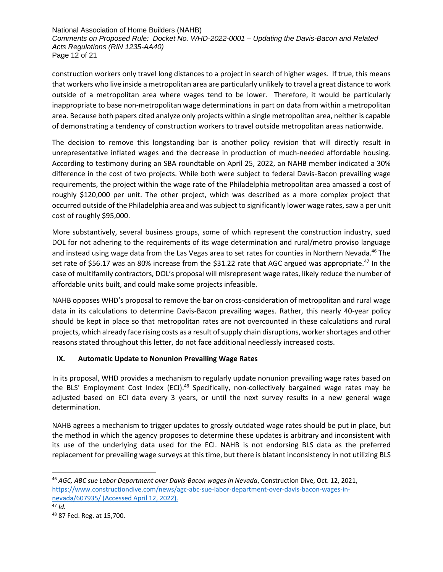National Association of Home Builders (NAHB) *Comments on Proposed Rule: Docket No. WHD-2022-0001 – Updating the Davis-Bacon and Related Acts Regulations (RIN 1235-AA40)* Page 12 of 21

construction workers only travel long distances to a project in search of higher wages. If true, this means that workers who live inside a metropolitan area are particularly unlikely to travel a great distance to work outside of a metropolitan area where wages tend to be lower. Therefore, it would be particularly inappropriate to base non-metropolitan wage determinations in part on data from within a metropolitan area. Because both papers cited analyze only projects within a single metropolitan area, neither is capable of demonstrating a tendency of construction workers to travel outside metropolitan areas nationwide.

The decision to remove this longstanding bar is another policy revision that will directly result in unrepresentative inflated wages and the decrease in production of much-needed affordable housing. According to testimony during an SBA roundtable on April 25, 2022, an NAHB member indicated a 30% difference in the cost of two projects. While both were subject to federal Davis-Bacon prevailing wage requirements, the project within the wage rate of the Philadelphia metropolitan area amassed a cost of roughly \$120,000 per unit. The other project, which was described as a more complex project that occurred outside of the Philadelphia area and was subject to significantly lower wage rates, saw a per unit cost of roughly \$95,000.

More substantively, several business groups, some of which represent the construction industry, sued DOL for not adhering to the requirements of its wage determination and rural/metro proviso language and instead using wage data from the Las Vegas area to set rates for counties in Northern Nevada.<sup>46</sup> The set rate of \$56.17 was an 80% increase from the \$31.22 rate that AGC argued was appropriate.<sup>47</sup> In the case of multifamily contractors, DOL's proposal will misrepresent wage rates, likely reduce the number of affordable units built, and could make some projects infeasible.

NAHB opposes WHD's proposal to remove the bar on cross-consideration of metropolitan and rural wage data in its calculations to determine Davis-Bacon prevailing wages. Rather, this nearly 40-year policy should be kept in place so that metropolitan rates are not overcounted in these calculations and rural projects, which already face rising costs as a result of supply chain disruptions, worker shortages and other reasons stated throughout this letter, do not face additional needlessly increased costs.

# **IX. Automatic Update to Nonunion Prevailing Wage Rates**

In its proposal, WHD provides a mechanism to regularly update nonunion prevailing wage rates based on the BLS' Employment Cost Index (ECI).<sup>48</sup> Specifically, non-collectively bargained wage rates may be adjusted based on ECI data every 3 years, or until the next survey results in a new general wage determination.

NAHB agrees a mechanism to trigger updates to grossly outdated wage rates should be put in place, but the method in which the agency proposes to determine these updates is arbitrary and inconsistent with its use of the underlying data used for the ECI. NAHB is not endorsing BLS data as the preferred replacement for prevailing wage surveys at this time, but there is blatant inconsistency in not utilizing BLS

<sup>46</sup> *AGC, ABC sue Labor Department over Davis-Bacon wages in Nevada*, Construction Dive, Oct. 12, 2021, [https://www.constructiondive.com/news/agc-abc-sue-labor-department-over-davis-bacon-wages-in](https://www.constructiondive.com/news/agc-abc-sue-labor-department-over-davis-bacon-wages-in-nevada/607935/)[nevada/607935/](https://www.constructiondive.com/news/agc-abc-sue-labor-department-over-davis-bacon-wages-in-nevada/607935/) (Accessed April 12, 2022).

<sup>47</sup> *Id.*

<sup>48</sup> 87 Fed. Reg. at 15,700.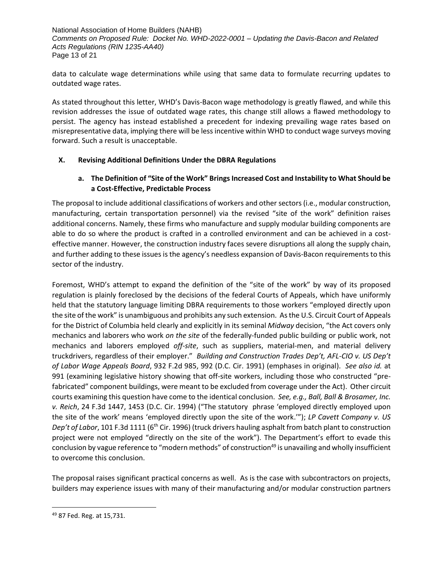National Association of Home Builders (NAHB) *Comments on Proposed Rule: Docket No. WHD-2022-0001 – Updating the Davis-Bacon and Related Acts Regulations (RIN 1235-AA40)* Page 13 of 21

data to calculate wage determinations while using that same data to formulate recurring updates to outdated wage rates.

As stated throughout this letter, WHD's Davis-Bacon wage methodology is greatly flawed, and while this revision addresses the issue of outdated wage rates, this change still allows a flawed methodology to persist. The agency has instead established a precedent for indexing prevailing wage rates based on misrepresentative data, implying there will be less incentive within WHD to conduct wage surveys moving forward. Such a result is unacceptable.

# **X. Revising Additional Definitions Under the DBRA Regulations**

# **a. The Definition of "Site of the Work" Brings Increased Cost and Instability to What Should be a Cost-Effective, Predictable Process**

The proposal to include additional classifications of workers and other sectors (i.e., modular construction, manufacturing, certain transportation personnel) via the revised "site of the work" definition raises additional concerns. Namely, these firms who manufacture and supply modular building components are able to do so where the product is crafted in a controlled environment and can be achieved in a costeffective manner. However, the construction industry faces severe disruptions all along the supply chain, and further adding to these issues is the agency's needless expansion of Davis-Bacon requirements to this sector of the industry.

Foremost, WHD's attempt to expand the definition of the "site of the work" by way of its proposed regulation is plainly foreclosed by the decisions of the federal Courts of Appeals, which have uniformly held that the statutory language limiting DBRA requirements to those workers "employed directly upon the site of the work" is unambiguous and prohibits any such extension. As the U.S. Circuit Court of Appeals for the District of Columbia held clearly and explicitly in its seminal *Midway* decision, "the Act covers only mechanics and laborers who work *on the site* of the federally-funded public building or public work, not mechanics and laborers employed *off-site*, such as suppliers, material-men, and material delivery truckdrivers, regardless of their employer." *Building and Construction Trades Dep't, AFL-CIO v. US Dep't of Labor Wage Appeals Board*, 932 F.2d 985, 992 (D.C. Cir. 1991) (emphases in original). *See also id.* at 991 (examining legislative history showing that off-site workers, including those who constructed "prefabricated" component buildings, were meant to be excluded from coverage under the Act). Other circuit courts examining this question have come to the identical conclusion. *See, e.g., Ball, Ball & Brosamer, Inc. v. Reich*, 24 F.3d 1447, 1453 (D.C. Cir. 1994) ("The statutory phrase 'employed directly employed upon the site of the work' means 'employed directly upon the site of the work.'"); *LP Cavett Company v. US Dep't of Labor*, 101 F.3d 1111 (6th Cir. 1996) (truck drivers hauling asphalt from batch plant to construction project were not employed "directly on the site of the work"). The Department's effort to evade this conclusion by vague reference to "modern methods" of construction<sup>49</sup> is unavailing and wholly insufficient to overcome this conclusion.

The proposal raises significant practical concerns as well. As is the case with subcontractors on projects, builders may experience issues with many of their manufacturing and/or modular construction partners

<sup>49</sup> 87 Fed. Reg. at 15,731.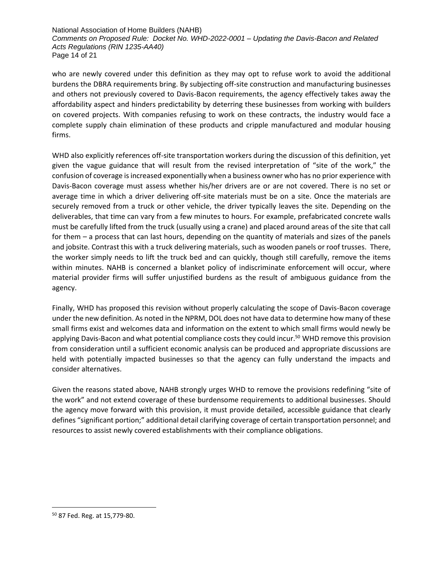National Association of Home Builders (NAHB) *Comments on Proposed Rule: Docket No. WHD-2022-0001 – Updating the Davis-Bacon and Related Acts Regulations (RIN 1235-AA40)* Page 14 of 21

who are newly covered under this definition as they may opt to refuse work to avoid the additional burdens the DBRA requirements bring. By subjecting off-site construction and manufacturing businesses and others not previously covered to Davis-Bacon requirements, the agency effectively takes away the affordability aspect and hinders predictability by deterring these businesses from working with builders on covered projects. With companies refusing to work on these contracts, the industry would face a complete supply chain elimination of these products and cripple manufactured and modular housing firms.

WHD also explicitly references off-site transportation workers during the discussion of this definition, yet given the vague guidance that will result from the revised interpretation of "site of the work," the confusion of coverage is increased exponentially when a business owner who has no prior experience with Davis-Bacon coverage must assess whether his/her drivers are or are not covered. There is no set or average time in which a driver delivering off-site materials must be on a site. Once the materials are securely removed from a truck or other vehicle, the driver typically leaves the site. Depending on the deliverables, that time can vary from a few minutes to hours. For example, prefabricated concrete walls must be carefully lifted from the truck (usually using a crane) and placed around areas of the site that call for them – a process that can last hours, depending on the quantity of materials and sizes of the panels and jobsite. Contrast this with a truck delivering materials, such as wooden panels or roof trusses. There, the worker simply needs to lift the truck bed and can quickly, though still carefully, remove the items within minutes. NAHB is concerned a blanket policy of indiscriminate enforcement will occur, where material provider firms will suffer unjustified burdens as the result of ambiguous guidance from the agency.

Finally, WHD has proposed this revision without properly calculating the scope of Davis-Bacon coverage under the new definition. As noted in the NPRM, DOL does not have data to determine how many of these small firms exist and welcomes data and information on the extent to which small firms would newly be applying Davis-Bacon and what potential compliance costs they could incur.<sup>50</sup> WHD remove this provision from consideration until a sufficient economic analysis can be produced and appropriate discussions are held with potentially impacted businesses so that the agency can fully understand the impacts and consider alternatives.

Given the reasons stated above, NAHB strongly urges WHD to remove the provisions redefining "site of the work" and not extend coverage of these burdensome requirements to additional businesses. Should the agency move forward with this provision, it must provide detailed, accessible guidance that clearly defines "significant portion;" additional detail clarifying coverage of certain transportation personnel; and resources to assist newly covered establishments with their compliance obligations.

<sup>50</sup> 87 Fed. Reg. at 15,779-80.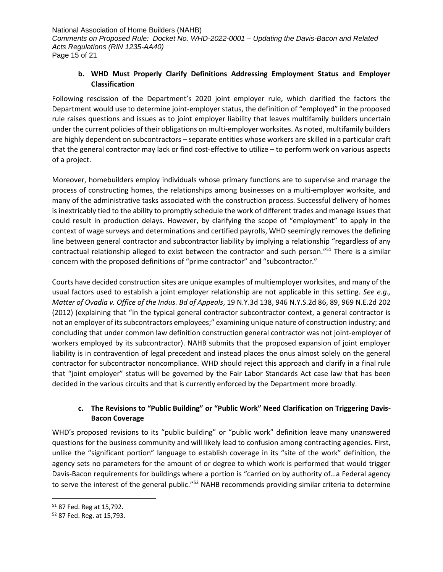# **b. WHD Must Properly Clarify Definitions Addressing Employment Status and Employer Classification**

Following rescission of the Department's 2020 joint employer rule, which clarified the factors the Department would use to determine joint-employer status, the definition of "employed" in the proposed rule raises questions and issues as to joint employer liability that leaves multifamily builders uncertain under the current policies of their obligations on multi-employer worksites. As noted, multifamily builders are highly dependent on subcontractors – separate entities whose workers are skilled in a particular craft that the general contractor may lack or find cost-effective to utilize – to perform work on various aspects of a project.

Moreover, homebuilders employ individuals whose primary functions are to supervise and manage the process of constructing homes, the relationships among businesses on a multi-employer worksite, and many of the administrative tasks associated with the construction process. Successful delivery of homes is inextricably tied to the ability to promptly schedule the work of different trades and manage issues that could result in production delays. However, by clarifying the scope of "employment" to apply in the context of wage surveys and determinations and certified payrolls, WHD seemingly removes the defining line between general contractor and subcontractor liability by implying a relationship "regardless of any contractual relationship alleged to exist between the contractor and such person."<sup>51</sup> There is a similar concern with the proposed definitions of "prime contractor" and "subcontractor."

Courts have decided construction sites are unique examples of multiemployer worksites, and many of the usual factors used to establish a joint employer relationship are not applicable in this setting. *See e.g., Matter of Ovadia v. Office of the Indus. Bd of Appeals*, 19 N.Y.3d 138, 946 N.Y.S.2d 86, 89, 969 N.E.2d 202 (2012) (explaining that "in the typical general contractor subcontractor context, a general contractor is not an employer of its subcontractors employees;" examining unique nature of construction industry; and concluding that under common law definition construction general contractor was not joint-employer of workers employed by its subcontractor). NAHB submits that the proposed expansion of joint employer liability is in contravention of legal precedent and instead places the onus almost solely on the general contractor for subcontractor noncompliance. WHD should reject this approach and clarify in a final rule that "joint employer" status will be governed by the Fair Labor Standards Act case law that has been decided in the various circuits and that is currently enforced by the Department more broadly.

# **c. The Revisions to "Public Building" or "Public Work" Need Clarification on Triggering Davis-Bacon Coverage**

WHD's proposed revisions to its "public building" or "public work" definition leave many unanswered questions for the business community and will likely lead to confusion among contracting agencies. First, unlike the "significant portion" language to establish coverage in its "site of the work" definition, the agency sets no parameters for the amount of or degree to which work is performed that would trigger Davis-Bacon requirements for buildings where a portion is "carried on by authority of…a Federal agency to serve the interest of the general public."<sup>52</sup> NAHB recommends providing similar criteria to determine

<sup>51</sup> 87 Fed. Reg at 15,792.

<sup>52</sup> 87 Fed. Reg. at 15,793.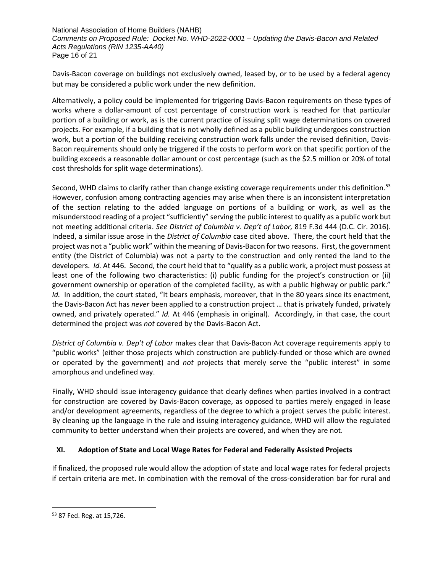National Association of Home Builders (NAHB) *Comments on Proposed Rule: Docket No. WHD-2022-0001 – Updating the Davis-Bacon and Related Acts Regulations (RIN 1235-AA40)* Page 16 of 21

Davis-Bacon coverage on buildings not exclusively owned, leased by, or to be used by a federal agency but may be considered a public work under the new definition.

Alternatively, a policy could be implemented for triggering Davis-Bacon requirements on these types of works where a dollar-amount of cost percentage of construction work is reached for that particular portion of a building or work, as is the current practice of issuing split wage determinations on covered projects. For example, if a building that is not wholly defined as a public building undergoes construction work, but a portion of the building receiving construction work falls under the revised definition, Davis-Bacon requirements should only be triggered if the costs to perform work on that specific portion of the building exceeds a reasonable dollar amount or cost percentage (such as the \$2.5 million or 20% of total cost thresholds for split wage determinations).

Second, WHD claims to clarify rather than change existing coverage requirements under this definition.<sup>53</sup> However, confusion among contracting agencies may arise when there is an inconsistent interpretation of the section relating to the added language on portions of a building or work, as well as the misunderstood reading of a project "sufficiently" serving the public interest to qualify as a public work but not meeting additional criteria. *See District of Columbia v. Dep't of Labor,* 819 F.3d 444 (D.C. Cir. 2016). Indeed, a similar issue arose in the *District of Columbia* case cited above. There, the court held that the project was not a "public work" within the meaning of Davis-Bacon for two reasons. First, the government entity (the District of Columbia) was not a party to the construction and only rented the land to the developers. *Id.* At 446. Second, the court held that to "qualify as a public work, a project must possess at least one of the following two characteristics: (i) public funding for the project's construction or (ii) government ownership or operation of the completed facility, as with a public highway or public park." *Id.* In addition, the court stated, "It bears emphasis, moreover, that in the 80 years since its enactment, the Davis-Bacon Act has *never* been applied to a construction project … that is privately funded, privately owned, and privately operated." *Id.* At 446 (emphasis in original). Accordingly, in that case, the court determined the project was *not* covered by the Davis-Bacon Act.

*District of Columbia v. Dep't of Labor* makes clear that Davis-Bacon Act coverage requirements apply to "public works" (either those projects which construction are publicly-funded or those which are owned or operated by the government) and *not* projects that merely serve the "public interest" in some amorphous and undefined way.

Finally, WHD should issue interagency guidance that clearly defines when parties involved in a contract for construction are covered by Davis-Bacon coverage, as opposed to parties merely engaged in lease and/or development agreements, regardless of the degree to which a project serves the public interest. By cleaning up the language in the rule and issuing interagency guidance, WHD will allow the regulated community to better understand when their projects are covered, and when they are not.

# **XI. Adoption of State and Local Wage Rates for Federal and Federally Assisted Projects**

If finalized, the proposed rule would allow the adoption of state and local wage rates for federal projects if certain criteria are met. In combination with the removal of the cross-consideration bar for rural and

<sup>53</sup> 87 Fed. Reg. at 15,726.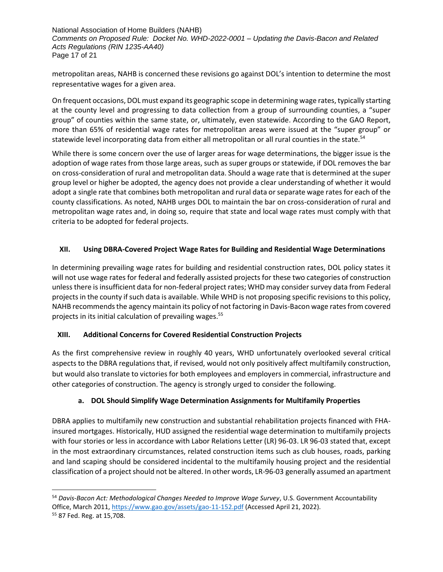National Association of Home Builders (NAHB) *Comments on Proposed Rule: Docket No. WHD-2022-0001 – Updating the Davis-Bacon and Related Acts Regulations (RIN 1235-AA40)* Page 17 of 21

metropolitan areas, NAHB is concerned these revisions go against DOL's intention to determine the most representative wages for a given area.

On frequent occasions, DOL must expand its geographic scope in determining wage rates, typically starting at the county level and progressing to data collection from a group of surrounding counties, a "super group" of counties within the same state, or, ultimately, even statewide. According to the GAO Report, more than 65% of residential wage rates for metropolitan areas were issued at the "super group" or statewide level incorporating data from either all metropolitan or all rural counties in the state.<sup>54</sup>

While there is some concern over the use of larger areas for wage determinations, the bigger issue is the adoption of wage rates from those large areas, such as super groups or statewide, if DOL removes the bar on cross-consideration of rural and metropolitan data. Should a wage rate that is determined at the super group level or higher be adopted, the agency does not provide a clear understanding of whether it would adopt a single rate that combines both metropolitan and rural data or separate wage rates for each of the county classifications. As noted, NAHB urges DOL to maintain the bar on cross-consideration of rural and metropolitan wage rates and, in doing so, require that state and local wage rates must comply with that criteria to be adopted for federal projects.

# **XII. Using DBRA-Covered Project Wage Rates for Building and Residential Wage Determinations**

In determining prevailing wage rates for building and residential construction rates, DOL policy states it will not use wage rates for federal and federally assisted projects for these two categories of construction unless there is insufficient data for non-federal project rates; WHD may consider survey data from Federal projects in the county if such data is available. While WHD is not proposing specific revisions to this policy, NAHB recommends the agency maintain its policy of not factoring in Davis-Bacon wage rates from covered projects in its initial calculation of prevailing wages.<sup>55</sup>

# **XIII. Additional Concerns for Covered Residential Construction Projects**

As the first comprehensive review in roughly 40 years, WHD unfortunately overlooked several critical aspects to the DBRA regulations that, if revised, would not only positively affect multifamily construction, but would also translate to victories for both employees and employers in commercial, infrastructure and other categories of construction. The agency is strongly urged to consider the following.

# **a. DOL Should Simplify Wage Determination Assignments for Multifamily Properties**

DBRA applies to multifamily new construction and substantial rehabilitation projects financed with FHAinsured mortgages. Historically, HUD assigned the residential wage determination to multifamily projects with four stories or less in accordance with Labor Relations Letter (LR) 96-03. LR 96-03 stated that, except in the most extraordinary circumstances, related construction items such as club houses, roads, parking and land scaping should be considered incidental to the multifamily housing project and the residential classification of a project should not be altered. In other words, LR-96-03 generally assumed an apartment

<sup>54</sup> *Davis-Bacon Act: Methodological Changes Needed to Improve Wage Survey*, U.S. Government Accountability Office, March 2011[, https://www.gao.gov/assets/gao-11-152.pdf](https://www.gao.gov/assets/gao-11-152.pdf) (Accessed April 21, 2022).

<sup>55</sup> 87 Fed. Reg. at 15,708.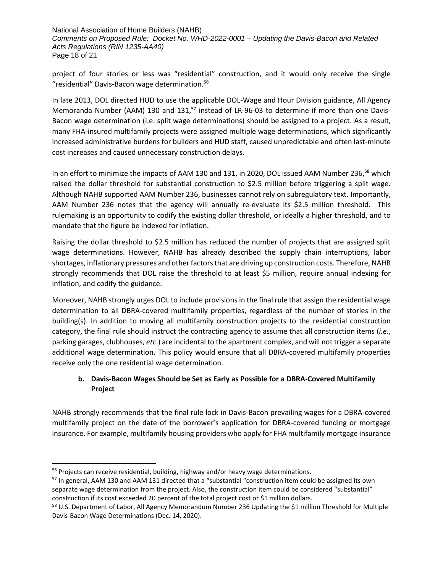National Association of Home Builders (NAHB) *Comments on Proposed Rule: Docket No. WHD-2022-0001 – Updating the Davis-Bacon and Related Acts Regulations (RIN 1235-AA40)* Page 18 of 21

project of four stories or less was "residential" construction, and it would only receive the single "residential" Davis-Bacon wage determination.<sup>56</sup>

In late 2013, DOL directed HUD to use the applicable DOL-Wage and Hour Division guidance, All Agency Memoranda Number (AAM) 130 and 131, $57$  instead of LR-96-03 to determine if more than one Davis-Bacon wage determination (i.e. split wage determinations) should be assigned to a project. As a result, many FHA-insured multifamily projects were assigned multiple wage determinations, which significantly increased administrative burdens for builders and HUD staff, caused unpredictable and often last-minute cost increases and caused unnecessary construction delays.

In an effort to minimize the impacts of AAM 130 and 131, in 2020, DOL issued AAM Number 236,<sup>58</sup> which raised the dollar threshold for substantial construction to \$2.5 million before triggering a split wage. Although NAHB supported AAM Number 236, businesses cannot rely on subregulatory text. Importantly, AAM Number 236 notes that the agency will annually re-evaluate its \$2.5 million threshold. This rulemaking is an opportunity to codify the existing dollar threshold, or ideally a higher threshold, and to mandate that the figure be indexed for inflation.

Raising the dollar threshold to \$2.5 million has reduced the number of projects that are assigned split wage determinations. However, NAHB has already described the supply chain interruptions, labor shortages, inflationary pressures and other factors that are driving up construction costs. Therefore, NAHB strongly recommends that DOL raise the threshold to at least \$5 million, require annual indexing for inflation, and codify the guidance.

Moreover, NAHB strongly urges DOL to include provisions in the final rule that assign the residential wage determination to all DBRA-covered multifamily properties, regardless of the number of stories in the building(s). In addition to moving all multifamily construction projects to the residential construction category, the final rule should instruct the contracting agency to assume that all construction items (*i.e.*, parking garages, clubhouses, *etc*.) are incidental to the apartment complex, and will not trigger a separate additional wage determination. This policy would ensure that all DBRA-covered multifamily properties receive only the one residential wage determination.

# **b. Davis-Bacon Wages Should be Set as Early as Possible for a DBRA-Covered Multifamily Project**

NAHB strongly recommends that the final rule lock in Davis-Bacon prevailing wages for a DBRA-covered multifamily project on the date of the borrower's application for DBRA-covered funding or mortgage insurance. For example, multifamily housing providers who apply for FHA multifamily mortgage insurance

<sup>&</sup>lt;sup>56</sup> Projects can receive residential, building, highway and/or heavy wage determinations.

<sup>&</sup>lt;sup>57</sup> In general, AAM 130 and AAM 131 directed that a "substantial "construction item could be assigned its own separate wage determination from the project. Also, the construction item could be considered "substantial" construction if its cost exceeded 20 percent of the total project cost or \$1 million dollars.

<sup>&</sup>lt;sup>58</sup> U.S. Department of Labor, All Agency Memorandum Number 236 Updating the \$1 million Threshold for Multiple Davis-Bacon Wage Determinations (Dec. 14, 2020).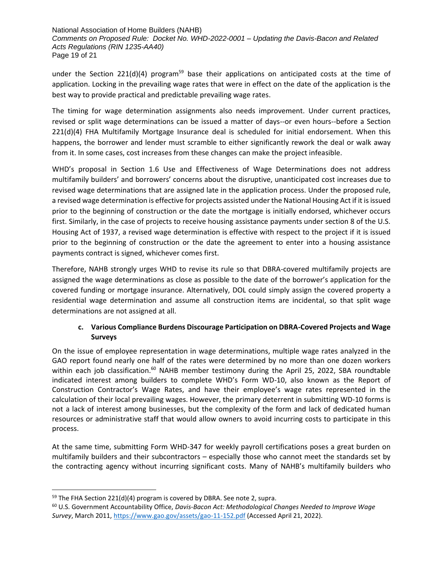National Association of Home Builders (NAHB) *Comments on Proposed Rule: Docket No. WHD-2022-0001 – Updating the Davis-Bacon and Related Acts Regulations (RIN 1235-AA40)* Page 19 of 21

under the Section 221(d)(4) program<sup>59</sup> base their applications on anticipated costs at the time of application. Locking in the prevailing wage rates that were in effect on the date of the application is the best way to provide practical and predictable prevailing wage rates.

The timing for wage determination assignments also needs improvement. Under current practices, revised or split wage determinations can be issued a matter of days--or even hours--before a Section 221(d)(4) FHA Multifamily Mortgage Insurance deal is scheduled for initial endorsement. When this happens, the borrower and lender must scramble to either significantly rework the deal or walk away from it. In some cases, cost increases from these changes can make the project infeasible.

WHD's proposal in Section 1.6 Use and Effectiveness of Wage Determinations does not address multifamily builders' and borrowers' concerns about the disruptive, unanticipated cost increases due to revised wage determinations that are assigned late in the application process. Under the proposed rule, a revised wage determination is effective for projects assisted under the National Housing Act if it is issued prior to the beginning of construction or the date the mortgage is initially endorsed, whichever occurs first. Similarly, in the case of projects to receive housing assistance payments under section 8 of the U.S. Housing Act of 1937, a revised wage determination is effective with respect to the project if it is issued prior to the beginning of construction or the date the agreement to enter into a housing assistance payments contract is signed, whichever comes first.

Therefore, NAHB strongly urges WHD to revise its rule so that DBRA-covered multifamily projects are assigned the wage determinations as close as possible to the date of the borrower's application for the covered funding or mortgage insurance. Alternatively, DOL could simply assign the covered property a residential wage determination and assume all construction items are incidental, so that split wage determinations are not assigned at all.

# **c. Various Compliance Burdens Discourage Participation on DBRA-Covered Projects and Wage Surveys**

On the issue of employee representation in wage determinations, multiple wage rates analyzed in the GAO report found nearly one half of the rates were determined by no more than one dozen workers within each job classification.<sup>60</sup> NAHB member testimony during the April 25, 2022, SBA roundtable indicated interest among builders to complete WHD's Form WD-10, also known as the Report of Construction Contractor's Wage Rates, and have their employee's wage rates represented in the calculation of their local prevailing wages. However, the primary deterrent in submitting WD-10 forms is not a lack of interest among businesses, but the complexity of the form and lack of dedicated human resources or administrative staff that would allow owners to avoid incurring costs to participate in this process.

At the same time, submitting Form WHD-347 for weekly payroll certifications poses a great burden on multifamily builders and their subcontractors – especially those who cannot meet the standards set by the contracting agency without incurring significant costs. Many of NAHB's multifamily builders who

 $59$  The FHA Section 221(d)(4) program is covered by DBRA. See note 2, supra.

<sup>60</sup> U.S. Government Accountability Office, *Davis-Bacon Act: Methodological Changes Needed to Improve Wage Survey*, March 2011,<https://www.gao.gov/assets/gao-11-152.pdf> (Accessed April 21, 2022).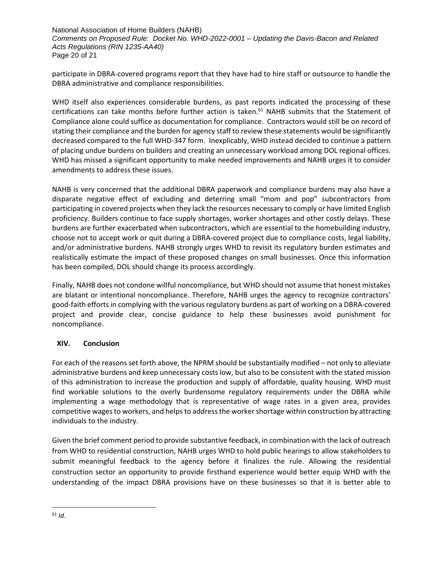National Association of Home Builders (NAHB) *Comments on Proposed Rule: Docket No. WHD-2022-0001 – Updating the Davis-Bacon and Related Acts Regulations (RIN 1235-AA40)* Page 20 of 21

participate in DBRA-covered programs report that they have had to hire staff or outsource to handle the DBRA administrative and compliance responsibilities.

WHD itself also experiences considerable burdens, as past reports indicated the processing of these certifications can take months before further action is taken.<sup>61</sup> NAHB submits that the Statement of Compliance alone could suffice as documentation for compliance. Contractors would still be on record of stating their compliance and the burden for agency staff to review these statements would be significantly decreased compared to the full WHD-347 form. Inexplicably, WHD instead decided to continue a pattern of placing undue burdens on builders and creating an unnecessary workload among DOL regional offices. WHD has missed a significant opportunity to make needed improvements and NAHB urges it to consider amendments to address these issues.

NAHB is very concerned that the additional DBRA paperwork and compliance burdens may also have a disparate negative effect of excluding and deterring small "mom and pop" subcontractors from participating in covered projects when they lack the resources necessary to comply or have limited English proficiency. Builders continue to face supply shortages, worker shortages and other costly delays. These burdens are further exacerbated when subcontractors, which are essential to the homebuilding industry, choose not to accept work or quit during a DBRA-covered project due to compliance costs, legal liability, and/or administrative burdens. NAHB strongly urges WHD to revisit its regulatory burden estimates and realistically estimate the impact of these proposed changes on small businesses. Once this information has been compiled, DOL should change its process accordingly.

Finally, NAHB does not condone willful noncompliance, but WHD should not assume that honest mistakes are blatant or intentional noncompliance. Therefore, NAHB urges the agency to recognize contractors' good-faith efforts in complying with the various regulatory burdens as part of working on a DBRA-covered project and provide clear, concise guidance to help these businesses avoid punishment for noncompliance.

# **XIV. Conclusion**

For each of the reasons set forth above, the NPRM should be substantially modified – not only to alleviate administrative burdens and keep unnecessary costs low, but also to be consistent with the stated mission of this administration to increase the production and supply of affordable, quality housing. WHD must find workable solutions to the overly burdensome regulatory requirements under the DBRA while implementing a wage methodology that is representative of wage rates in a given area, provides competitive wages to workers, and helps to addressthe worker shortage within construction by attracting individuals to the industry.

Given the brief comment period to provide substantive feedback, in combination with the lack of outreach from WHD to residential construction, NAHB urges WHD to hold public hearings to allow stakeholders to submit meaningful feedback to the agency before it finalizes the rule. Allowing the residential construction sector an opportunity to provide firsthand experience would better equip WHD with the understanding of the impact DBRA provisions have on these businesses so that it is better able to